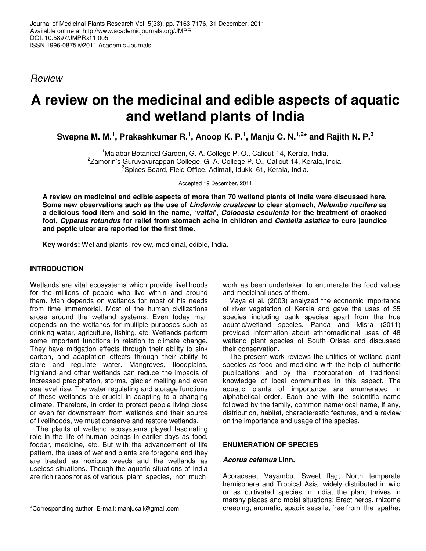Review

# **A review on the medicinal and edible aspects of aquatic and wetland plants of India**

 $\,$ Swapna M. M. $^{1}$ , Prakashkumar R. $^{1}$ , Anoop K. P. $^{1}$ , Manju C. N. $^{1,2\ast}$  and Rajith N. P. $^{3}$ 

<sup>1</sup>Malabar Botanical Garden, G. A. College P. O., Calicut-14, Kerala, India. <sup>2</sup>Zamorin's Guruvayurappan College, G. A. College P. O., Calicut-14, Kerala, India. 3 Spices Board, Field Office, Adimali, Idukki-61, Kerala, India.

Accepted 19 December, 2011

**A review on medicinal and edible aspects of more than 70 wetland plants of India were discussed here. Some new observations such as the use of Lindernia crustacea to clear stomach, Nelumbo nucifera as a delicious food item and sold in the name, 'vattal', Colocasia esculenta for the treatment of cracked foot, Cyperus rotundus for relief from stomach ache in children and Centella asiatica to cure jaundice and peptic ulcer are reported for the first time.** 

**Key words:** Wetland plants, review, medicinal, edible, India.

## **INTRODUCTION**

Wetlands are vital ecosystems which provide livelihoods for the millions of people who live within and around them. Man depends on wetlands for most of his needs from time immemorial. Most of the human civilizations arose around the wetland systems. Even today man depends on the wetlands for multiple purposes such as drinking water, agriculture, fishing, etc. Wetlands perform some important functions in relation to climate change. They have mitigation effects through their ability to sink carbon, and adaptation effects through their ability to store and regulate water. Mangroves, floodplains, highland and other wetlands can reduce the impacts of increased precipitation, storms, glacier melting and even sea level rise. The water regulating and storage functions of these wetlands are crucial in adapting to a changing climate. Therefore, in order to protect people living close or even far downstream from wetlands and their source of livelihoods, we must conserve and restore wetlands.

The plants of wetland ecosystems played fascinating role in the life of human beings in earlier days as food, fodder, medicine, etc. But with the advancement of life pattern, the uses of wetland plants are foregone and they are treated as noxious weeds and the wetlands as useless situations. Though the aquatic situations of India are rich repositories of various plant species, not much

\*Corresponding author. E-mail: manjucali@gmail.com.

work as been undertaken to enumerate the food values and medicinal uses of them.

Maya et al. (2003) analyzed the economic importance of river vegetation of Kerala and gave the uses of 35 species including bank species apart from the true aquatic/wetland species. Panda and Misra (2011) provided information about ethnomedicinal uses of 48 wetland plant species of South Orissa and discussed their conservation.

The present work reviews the utilities of wetland plant species as food and medicine with the help of authentic publications and by the incorporation of traditional knowledge of local communities in this aspect. The aquatic plants of importance are enumerated in alphabetical order. Each one with the scientific name followed by the family, common name/local name, if any, distribution, habitat, characterestic features, and a review on the importance and usage of the species.

#### **ENUMERATION OF SPECIES**

#### **Acorus calamus Linn.**

Acoraceae; Vayambu, Sweet flag; North temperate hemisphere and Tropical Asia; widely distributed in wild or as cultivated species in India; the plant thrives in marshy places and moist situations; Erect herbs, rhizome creeping, aromatic, spadix sessile, free from the spathe;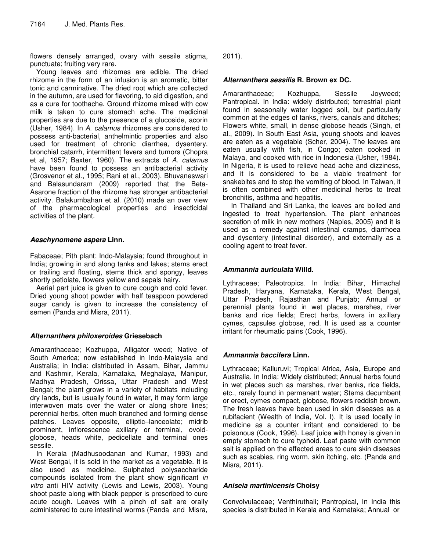flowers densely arranged, ovary with sessile stigma, punctuate; fruiting very rare.

Young leaves and rhizomes are edible. The dried rhizome in the form of an infusion is an aromatic, bitter tonic and carminative. The dried root which are collected in the autumn, are used for flavoring, to aid digestion, and as a cure for toothache. Ground rhizome mixed with cow milk is taken to cure stomach ache. The medicinal properties are due to the presence of a glucoside, acorin (Usher, 1984). In A. calamus rhizomes are considered to possess anti-bacterial, anthelmintic properties and also used for treatment of chronic diarrhea, dysentery, bronchial catarrh, intermittent fevers and tumors (Chopra et al, 1957; Baxter, 1960). The extracts of A. calamus have been found to possess an antibacterial activity (Grosvenor et al., 1995; Rani et al., 2003). Bhuvaneswari and Balasundaram (2009) reported that the Beta-Asarone fraction of the rhizome has stronger antibacterial activity. Balakumbahan et al. (2010) made an over view of the pharmacological properties and insecticidal activities of the plant.

## **Aeschynomene aspera Linn.**

Fabaceae; Pith plant; Indo-Malaysia; found throughout in India; growing in and along tanks and lakes; stems erect or trailing and floating, stems thick and spongy, leaves shortly petiolate, flowers yellow and sepals hairy.

Aerial part juice is given to cure cough and cold fever. Dried young shoot powder with half teaspoon powdered sugar candy is given to increase the consistency of semen (Panda and Misra, 2011).

#### **Alternanthera philoxeroides Griesebach**

Amaranthaceae; Kozhuppa, Alligator weed; Native of South America; now established in Indo-Malaysia and Australia; in India: distributed in Assam, Bihar, Jammu and Kashmir, Kerala, Karnataka, Meghalaya, Manipur, Madhya Pradesh, Orissa, Uttar Pradesh and West Bengal; the plant grows in a variety of habitats including dry lands, but is usually found in water, it may form large interwoven mats over the water or along shore lines; perennial herbs, often much branched and forming dense patches. Leaves opposite, elliptic–lanceolate; midrib prominent, inflorescence axillary or terminal, ovoidglobose, heads white, pedicellate and terminal ones sessile.

In Kerala (Madhusoodanan and Kumar, 1993) and West Bengal, it is sold in the market as a vegetable. It is also used as medicine. Sulphated polysaccharide compounds isolated from the plant show significant in vitro anti HIV activity (Lewis and Lewis, 2003). Young shoot paste along with black pepper is prescribed to cure acute cough. Leaves with a pinch of salt are orally administered to cure intestinal worms (Panda and Misra,

2011).

## **Alternanthera sessilis R. Brown ex DC.**

Amaranthaceae; Kozhuppa, Sessile Joyweed; Pantropical. In India: widely distributed; terrestrial plant found in seasonally water logged soil, but particularly common at the edges of tanks, rivers, canals and ditches; Flowers white, small, in dense globose heads (Singh, et al., 2009). In South East Asia, young shoots and leaves are eaten as a vegetable (Scher, 2004). The leaves are eaten usually with fish, in Congo; eaten cooked in Malaya, and cooked with rice in Indonesia (Usher, 1984). In Nigeria, it is used to relieve head ache and dizziness, and it is considered to be a viable treatment for snakebites and to stop the vomiting of blood. In Taiwan, it is often combined with other medicinal herbs to treat bronchitis, asthma and hepatitis.

 In Thailand and Sri Lanka, the leaves are boiled and ingested to treat hypertension. The plant enhances secretion of milk in new mothers (Naples, 2005) and it is used as a remedy against intestinal cramps, diarrhoea and dysentery (intestinal disorder), and externally as a cooling agent to treat fever.

## **Ammannia auriculata Willd.**

Lythraceae; Paleotropics. In India: Bihar, Himachal Pradesh, Haryana, Karnataka, Kerala, West Bengal, Uttar Pradesh, Rajasthan and Punjab; Annual or perennial plants found in wet places, marshes, river banks and rice fields; Erect herbs, fowers in axillary cymes, capsules globose, red. It is used as a counter irritant for rheumatic pains (Cook, 1996).

#### **Ammannia baccifera Linn.**

Lythraceae; Kalluruvi; Tropical Africa, Asia, Europe and Australia. In India: Widely distributed; Annual herbs found in wet places such as marshes, river banks, rice fields, etc., rarely found in permanent water; Stems decumbent or erect, cymes compact, globose, flowers reddish brown. The fresh leaves have been used in skin diseases as a rubifacient (Wealth of India, Vol. I). It is used locally in medicine as a counter irritant and considered to be poisonous (Cook, 1996). Leaf juice with honey is given in empty stomach to cure typhoid. Leaf paste with common salt is applied on the affected areas to cure skin diseases such as scabies, ring worm, skin itching, etc. (Panda and Misra, 2011).

# **Aniseia martinicensis Choisy**

Convolvulaceae; Venthiruthali; Pantropical, In India this species is distributed in Kerala and Karnataka; Annual or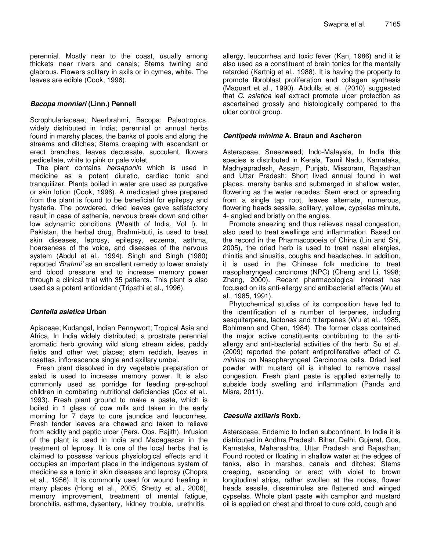perennial. Mostly near to the coast, usually among thickets near rivers and canals; Stems twining and glabrous. Flowers solitary in axils or in cymes, white. The leaves are edible (Cook, 1996).

## **Bacopa monnieri (Linn.) Pennell**

Scrophulariaceae; Neerbrahmi, Bacopa; Paleotropics, widely distributed in India; perennial or annual herbs found in marshy places, the banks of pools and along the streams and ditches; Stems creeping with ascendant or erect branches, leaves decussate, succulent, flowers pedicellate, white to pink or pale violet.

The plant contains hersaponin which is used in medicine as a potent diuretic, cardiac tonic and tranquilizer. Plants boiled in water are used as purgative or skin lotion (Cook, 1996). A medicated ghee prepared from the plant is found to be beneficial for epilepsy and hysteria. The powdered, dried leaves gave satisfactory result in case of asthenia, nervous break down and other low adynamic conditions (Wealth of India, Vol I). In Pakistan, the herbal drug, Brahmi-buti, is used to treat skin diseases, leprosy, epilepsy, eczema, asthma, hoarseness of the voice, and diseases of the nervous system (Abdul et al., 1994). Singh and Singh (1980) reported 'Brahmi' as an excellent remedy to lower anxiety and blood pressure and to increase memory power through a clinical trial with 35 patients. This plant is also used as a potent antioxidant (Tripathi et al., 1996).

# **Centella asiatica Urban**

Apiaceae; Kudangal, Indian Pennywort; Tropical Asia and Africa, In India widely distributed; a prostrate perennial aromatic herb growing wild along stream sides, paddy fields and other wet places; stem reddish, leaves in rosettes, inflorescence single and axillary umbel.

Fresh plant dissolved in dry vegetable preparation or salad is used to increase memory power. It is also commonly used as porridge for feeding pre-school children in combating nutritional deficiencies (Cox et al., 1993). Fresh plant ground to make a paste, which is boiled in 1 glass of cow milk and taken in the early morning for 7 days to cure jaundice and leucorrhea. Fresh tender leaves are chewed and taken to relieve from acidity and peptic ulcer (Pers. Obs. Rajith). Infusion of the plant is used in India and Madagascar in the treatment of leprosy. It is one of the local herbs that is claimed to possess various physiological effects and it occupies an important place in the indigenous system of medicine as a tonic in skin diseases and leprosy (Chopra et al., 1956). It is commonly used for wound healing in many places (Hong et al., 2005; Shetty et al., 2006), memory improvement, treatment of mental fatigue, bronchitis, asthma, dysentery, kidney trouble, urethritis,

allergy, leucorrhea and toxic fever (Kan, 1986) and it is also used as a constituent of brain tonics for the mentally retarded (Kartnig et al., 1988). It is having the property to promote fibroblast proliferation and collagen synthesis (Maquart et al., 1990). Abdulla et al. (2010) suggested that C. asiatica leaf extract promote ulcer protection as ascertained grossly and histologically compared to the ulcer control group.

## **Centipeda minima A. Braun and Ascheron**

Asteraceae; Sneezweed; Indo-Malaysia, In India this species is distributed in Kerala, Tamil Nadu, Karnataka, Madhyapradesh, Assam, Punjab, Missoram, Rajasthan and Uttar Pradesh; Short lived annual found in wet places, marshy banks and submerged in shallow water, flowering as the water recedes; Stem erect or spreading from a single tap root, leaves alternate, numerous, flowering heads sessile, solitary, yellow, cypselas minute, 4- angled and bristly on the angles.

Promote sneezing and thus relieves nasal congestion, also used to treat swellings and inflammation. Based on the record in the Pharmacopoeia of China (Lin and Shi, 2005), the dried herb is used to treat nasal allergies, rhinitis and sinusitis, coughs and headaches. In addition, it is used in the Chinese folk medicine to treat nasopharyngeal carcinoma (NPC) (Cheng and Li, 1998; Zhang, 2000). Recent pharmacological interest has focused on its anti-allergy and antibacterial effects (Wu et al., 1985, 1991).

Phytochemical studies of its composition have led to the identification of a number of terpenes, including sesquiterpene, lactones and triterpenes (Wu et al., 1985, Bohlmann and Chen, 1984). The former class contained the major active constituents contributing to the antiallergy and anti-bacterial activities of the herb. Su et al. (2009) reported the potent antiproliferative effect of C. minima on Nasopharyngeal Carcinoma cells. Dried leaf powder with mustard oil is inhaled to remove nasal congestion. Fresh plant paste is applied externally to subside body swelling and inflammation (Panda and Misra, 2011).

#### **Caesulia axillaris Roxb.**

Asteraceae; Endemic to Indian subcontinent, In India it is distributed in Andhra Pradesh, Bihar, Delhi, Gujarat, Goa, Karnataka, Maharashtra, Uttar Pradesh and Rajasthan; Found rooted or floating in shallow water at the edges of tanks, also in marshes, canals and ditches; Stems creeping, ascending or erect with violet to brown longitudinal strips, rather swollen at the nodes, flower heads sessile, disseminules are flattened and winged cypselas. Whole plant paste with camphor and mustard oil is applied on chest and throat to cure cold, cough and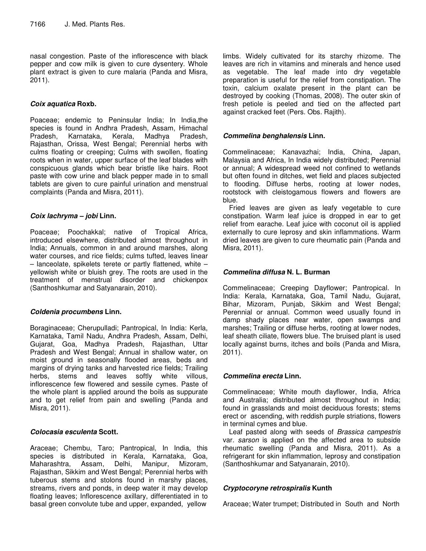nasal congestion. Paste of the inflorescence with black pepper and cow milk is given to cure dysentery. Whole plant extract is given to cure malaria (Panda and Misra, 2011).

## **Coix aquatica Roxb.**

Poaceae; endemic to Peninsular India; In India,the species is found in Andhra Pradesh, Assam, Himachal Pradesh, Karnataka, Kerala, Madhya Pradesh, Rajasthan, Orissa, West Bengal; Perennial herbs with culms floating or creeping; Culms with swollen, floating roots when in water, upper surface of the leaf blades with conspicuous glands which bear bristle like hairs. Root paste with cow urine and black pepper made in to small tablets are given to cure painful urination and menstrual complaints (Panda and Misra, 2011).

## **Coix lachryma – jobi Linn.**

Poaceae; Poochakkal; native of Tropical Africa, introduced elsewhere, distributed almost throughout in India; Annuals, common in and around marshes, along water courses, and rice fields; culms tufted, leaves linear – lanceolate, spikelets terete or partly flattened, white – yellowish white or bluish grey. The roots are used in the treatment of menstrual disorder and chickenpox (Santhoshkumar and Satyanarain, 2010).

# **Coldenia procumbens Linn.**

Boraginaceae; Cherupulladi; Pantropical, In India: Kerla, Karnataka, Tamil Nadu, Andhra Pradesh, Assam, Delhi, Gujarat, Goa, Madhya Pradesh, Rajasthan, Uttar Pradesh and West Bengal; Annual in shallow water, on moist ground in seasonally flooded areas, beds and margins of drying tanks and harvested rice fields; Trailing herbs, stems and leaves softly white villous, inflorescence few flowered and sessile cymes. Paste of the whole plant is applied around the boils as suppurate and to get relief from pain and swelling (Panda and Misra, 2011).

#### **Colocasia esculenta Scott.**

Araceae; Chembu, Taro; Pantropical, In India, this species is distributed in Kerala, Karnataka, Goa, Maharashtra, Assam, Delhi, Manipur, Mizoram, Rajasthan, Sikkim and West Bengal; Perennial herbs with tuberous stems and stolons found in marshy places, streams, rivers and ponds, in deep water it may develop floating leaves; Inflorescence axillary, differentiated in to basal green convolute tube and upper, expanded, yellow

limbs. Widely cultivated for its starchy rhizome. The leaves are rich in vitamins and minerals and hence used as vegetable. The leaf made into dry vegetable preparation is useful for the relief from constipation. The toxin, calcium oxalate present in the plant can be destroyed by cooking (Thomas, 2008). The outer skin of fresh petiole is peeled and tied on the affected part against cracked feet (Pers. Obs. Rajith).

## **Commelina benghalensis Linn.**

Commelinaceae; Kanavazhai; India, China, Japan, Malaysia and Africa, In India widely distributed; Perennial or annual; A widespread weed not confined to wetlands but often found in ditches, wet field and places subjected to flooding. Diffuse herbs, rooting at lower nodes, rootstock with cleistogamous flowers and flowers are blue.

Fried leaves are given as leafy vegetable to cure constipation. Warm leaf juice is dropped in ear to get relief from earache. Leaf juice with coconut oil is applied externally to cure leprosy and skin inflammations. Warm dried leaves are given to cure rheumatic pain (Panda and Misra, 2011).

## **Commelina diffusa N. L. Burman**

Commelinaceae; Creeping Dayflower; Pantropical. In India: Kerala, Karnataka, Goa, Tamil Nadu, Gujarat, Bihar, Mizoram, Punjab, Sikkim and West Bengal; Perennial or annual. Common weed usually found in damp shady places near water, open swamps and marshes; Trailing or diffuse herbs, rooting at lower nodes, leaf sheath ciliate, flowers blue. The bruised plant is used locally against burns, itches and boils (Panda and Misra, 2011).

#### **Commelina erecta Linn.**

Commelinaceae; White mouth dayflower, India, Africa and Australia; distributed almost throughout in India; found in grasslands and moist deciduous forests; stems erect or ascending, with reddish purple striations, flowers in terminal cymes and blue.

Leaf pasted along with seeds of Brassica campestris var. sarson is applied on the affected area to subside rheumatic swelling (Panda and Misra, 2011). As a refrigerant for skin inflammation, leprosy and constipation (Santhoshkumar and Satyanarain, 2010).

# **Cryptocoryne retrospiralis Kunth**

Araceae; Water trumpet; Distributed in South and North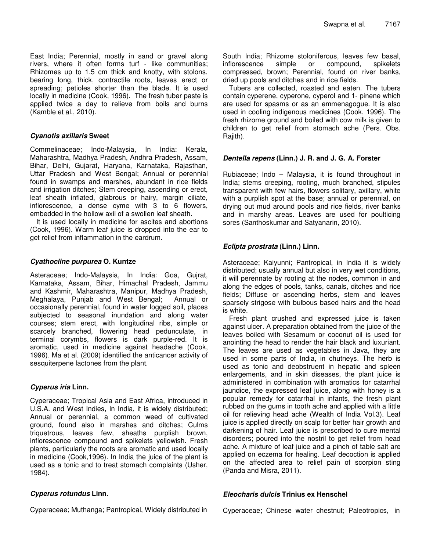East India; Perennial, mostly in sand or gravel along rivers, where it often forms turf - like communities; Rhizomes up to 1.5 cm thick and knotty, with stolons, bearing long, thick, contractile roots, leaves erect or spreading; petioles shorter than the blade. It is used locally in medicine (Cook, 1996). The fresh tuber paste is applied twice a day to relieve from boils and burns (Kamble et al., 2010).

### **Cyanotis axillaris Sweet**

Commelinaceae; Indo-Malaysia, In India: Kerala, Maharashtra, Madhya Pradesh, Andhra Pradesh, Assam, Bihar, Delhi, Gujarat, Haryana, Karnataka, Rajasthan, Uttar Pradesh and West Bengal; Annual or perennial found in swamps and marshes, abundant in rice fields and irrigation ditches; Stem creeping, ascending or erect, leaf sheath inflated, glabrous or hairy, margin ciliate, inflorescence, a dense cyme with 3 to 6 flowers, embedded in the hollow axil of a swollen leaf sheath.

It is used locally in medicine for ascites and abortions (Cook, 1996). Warm leaf juice is dropped into the ear to get relief from inflammation in the eardrum.

## **Cyathocline purpurea O. Kuntze**

Asteraceae; Indo-Malaysia, In India: Goa, Gujrat, Karnataka, Assam, Bihar, Himachal Pradesh, Jammu and Kashmir, Maharashtra, Manipur, Madhya Pradesh, Meghalaya, Punjab and West Bengal; Annual or occasionally perennial, found in water logged soil, places subjected to seasonal inundation and along water courses; stem erect, with longitudinal ribs, simple or scarcely branched, flowering head pedunculate, in terminal corymbs, flowers is dark purple-red. It is aromatic, used in medicine against headache (Cook, 1996). Ma et al. (2009) identified the anticancer activity of sesquiterpene lactones from the plant.

#### **Cyperus iria Linn.**

Cyperaceae; Tropical Asia and East Africa, introduced in U.S.A. and West Indies, In India, it is widely distributed; Annual or perennial, a common weed of cultivated ground, found also in marshes and ditches; Culms triquetrous, leaves few, sheaths purplish brown, inflorescence compound and spikelets yellowish. Fresh plants, particularly the roots are aromatic and used locally in medicine (Cook,1996). In India the juice of the plant is used as a tonic and to treat stomach complaints (Usher, 1984).

# **Cyperus rotundus Linn.**

Cyperaceae; Muthanga; Pantropical, Widely distributed in

South India; Rhizome stoloniferous, leaves few basal, inflorescence simple or compound, spikelets compressed, brown; Perennial, found on river banks, dried up pools and ditches and in rice fields.

Tubers are collected, roasted and eaten. The tubers contain cyperene, cyperone, cyperol and 1- pinene which are used for spasms or as an emmenagogue. It is also used in cooling indigenous medicines (Cook, 1996). The fresh rhizome ground and boiled with cow milk is given to children to get relief from stomach ache (Pers. Obs. Rajith).

## **Dentella repens (Linn.) J. R. and J. G. A. Forster**

Rubiaceae; Indo – Malaysia, it is found throughout in India; stems creeping, rooting, much branched, stipules transparent with few hairs, flowers solitary, axillary, white with a purplish spot at the base; annual or perennial, on drying out mud around pools and rice fields, river banks and in marshy areas. Leaves are used for poulticing sores (Santhoskumar and Satyanarin, 2010).

# **Eclipta prostrata (Linn.) Linn.**

Asteraceae; Kaiyunni; Pantropical, in India it is widely distributed; usually annual but also in very wet conditions, it will perennate by rooting at the nodes, common in and along the edges of pools, tanks, canals, ditches and rice fields; Diffuse or ascending herbs, stem and leaves sparsely strigose with bulbous based hairs and the head is white.

Fresh plant crushed and expressed juice is taken against ulcer. A preparation obtained from the juice of the leaves boiled with Sesamum or coconut oil is used for anointing the head to render the hair black and luxuriant. The leaves are used as vegetables in Java, they are used in some parts of India, in chutneys. The herb is used as tonic and deobstruent in hepatic and spleen enlargements, and in skin diseases, the plant juice is administered in combination with aromatics for catarrhal jaundice, the expressed leaf juice, along with honey is a popular remedy for catarrhal in infants, the fresh plant rubbed on the gums in tooth ache and applied with a little oil for relieving head ache (Wealth of India Vol.3). Leaf juice is applied directly on scalp for better hair growth and darkening of hair. Leaf juice is prescribed to cure mental disorders; poured into the nostril to get relief from head ache. A mixture of leaf juice and a pinch of table salt are applied on eczema for healing. Leaf decoction is applied on the affected area to relief pain of scorpion sting (Panda and Misra, 2011).

# **Eleocharis dulcis Trinius ex Henschel**

Cyperaceae; Chinese water chestnut; Paleotropics, in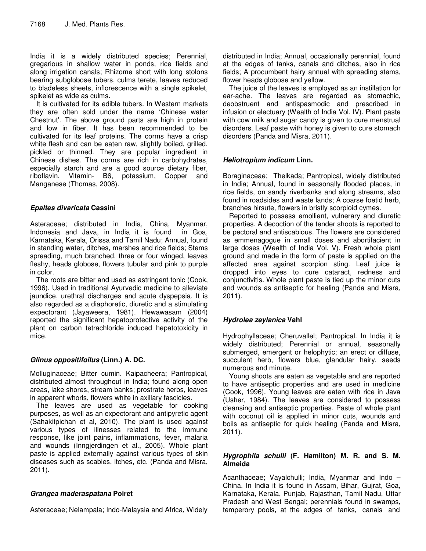India it is a widely distributed species; Perennial, gregarious in shallow water in ponds, rice fields and along irrigation canals; Rhizome short with long stolons bearing subglobose tubers, culms terete, leaves reduced to bladeless sheets, inflorescence with a single spikelet, spikelet as wide as culms.

It is cultivated for its edible tubers. In Western markets they are often sold under the name 'Chinese water Chestnut'. The above ground parts are high in protein and low in fiber. It has been recommended to be cultivated for its leaf proteins. The corms have a crisp white flesh and can be eaten raw, slightly boiled, grilled, pickled or thinned. They are popular ingredient in Chinese dishes. The corms are rich in carbohydrates, especially starch and are a good source dietary fiber, riboflavin, Vitamin- B6, potassium, Copper and Manganese (Thomas, 2008).

## **Epaltes divaricata Cassini**

Asteraceae; distributed in India, China, Myanmar, Indonesia and Java, in India it is found Karnataka, Kerala, Orissa and Tamil Nadu; Annual, found in standing water, ditches, marshes and rice fields; Stems spreading, much branched, three or four winged, leaves fleshy, heads globose, flowers tubular and pink to purple in color.

The roots are bitter and used as astringent tonic (Cook, 1996). Used in traditional Ayurvedic medicine to alleviate jaundice, urethral discharges and acute dyspepsia. It is also regarded as a diaphoretic, diuretic and a stimulating expectorant (Jayaweera, 1981). Hewawasam (2004) reported the significant hepatoprotective activity of the plant on carbon tetrachloride induced hepatotoxicity in mice.

# **Glinus oppositifoilus (Linn.) A. DC.**

Molluginaceae; Bitter cumin. Kaipacheera; Pantropical, distributed almost throughout in India; found along open areas, lake shores, stream banks; prostrate herbs, leaves in apparent whorls, flowers white in axillary fascicles.

The leaves are used as vegetable for cooking purposes, as well as an expectorant and antipyretic agent (Sahakitpichan et al, 2010). The plant is used against various types of illnesses related to the immune response, like joint pains, inflammations, fever, malaria and wounds (Inngjerdingen et al., 2005). Whole plant paste is applied externally against various types of skin diseases such as scabies, itches, etc. (Panda and Misra, 2011).

#### **Grangea maderaspatana Poiret**

Asteraceae; Nelampala; Indo-Malaysia and Africa, Widely

distributed in India; Annual, occasionally perennial, found at the edges of tanks, canals and ditches, also in rice fields; A procumbent hairy annual with spreading stems, flower heads globose and yellow.

The juice of the leaves is employed as an instillation for ear-ache. The leaves are regarded as stomachic, deobstruent and antispasmodic and prescribed in infusion or electuary (Wealth of India Vol. IV). Plant paste with cow milk and sugar candy is given to cure menstrual disorders. Leaf paste with honey is given to cure stomach disorders (Panda and Misra, 2011).

#### **Heliotropium indicum Linn.**

Boraginaceae; Thelkada; Pantropical, widely distributed in India; Annual, found in seasonally flooded places, in rice fields, on sandy riverbanks and along streams, also found in roadsides and waste lands; A coarse foetid herb, branches hirsute, flowers in bristly scorpioid cymes.

Reported to possess emollient, vulnerary and diuretic properties. A decoction of the tender shoots is reported to be pectoral and antiscabious. The flowers are considered as emmenagogue in small doses and abortifacient in large doses (Wealth of India Vol. V). Fresh whole plant ground and made in the form of paste is applied on the affected area against scorpion sting. Leaf juice is dropped into eyes to cure cataract, redness and conjunctivitis. Whole plant paste is tied up the minor cuts and wounds as antiseptic for healing (Panda and Misra, 2011).

# **Hydrolea zeylanica Vahl**

Hydrophyllaceae; Cheruvallel; Pantropical. In India it is widely distributed; Perennial or annual, seasonally submerged, emergent or helophytic; an erect or diffuse, succulent herb, flowers blue, glandular hairy, seeds numerous and minute.

Young shoots are eaten as vegetable and are reported to have antiseptic properties and are used in medicine (Cook, 1996). Young leaves are eaten with rice in Java (Usher, 1984). The leaves are considered to possess cleansing and antiseptic properties. Paste of whole plant with coconut oil is applied in minor cuts, wounds and boils as antiseptic for quick healing (Panda and Misra, 2011).

#### **Hygrophila schulli (F. Hamilton) M. R. and S. M. Almeida**

Acanthaceae; Vayalchulli; India, Myanmar and Indo – China. In India it is found in Assam, Bihar, Gujrat, Goa, Karnataka, Kerala, Punjab, Rajasthan, Tamil Nadu, Uttar Pradesh and West Bengal; perennials found in swamps, temperory pools, at the edges of tanks, canals and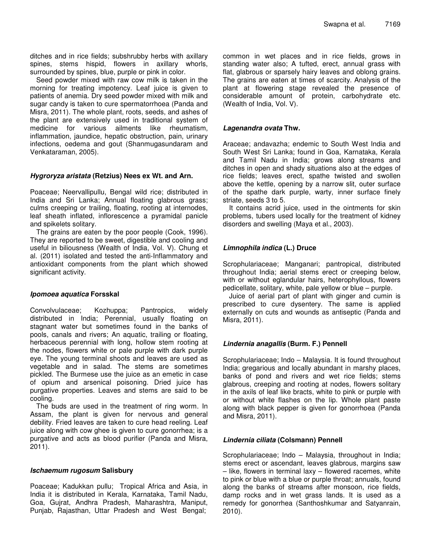ditches and in rice fields; subshrubby herbs with axillary spines, stems hispid, flowers in axillary whorls, surrounded by spines, blue, purple or pink in color.

Seed powder mixed with raw cow milk is taken in the morning for treating impotency. Leaf juice is given to patients of anemia. Dry seed powder mixed with milk and sugar candy is taken to cure spermatorrhoea (Panda and Misra, 2011). The whole plant, roots, seeds, and ashes of the plant are extensively used in traditional system of medicine for various ailments like rheumatism, inflammation, jaundice, hepatic obstruction, pain, urinary infections, oedema and gout (Shanmugasundaram and Venkataraman, 2005).

#### **Hygroryza aristata (Retzius) Nees ex Wt. and Arn.**

Poaceae; Neervallipullu, Bengal wild rice; distributed in India and Sri Lanka; Annual floating glabrous grass; culms creeping or trailing, floating, rooting at internodes, leaf sheath inflated, inflorescence a pyramidal panicle and spikelets solitary.

The grains are eaten by the poor people (Cook, 1996). They are reported to be sweet, digestible and cooling and useful in biliousness (Wealth of India, Vol. V). Chung et al. (2011) isolated and tested the anti-Inflammatory and antioxidant components from the plant which showed significant activity.

#### **Ipomoea aquatica Forsskal**

Convolvulaceae; Kozhuppa; Pantropics, widely distributed in India; Perennial, usually floating on stagnant water but sometimes found in the banks of pools, canals and rivers; An aquatic, trailing or floating, herbaceous perennial with long, hollow stem rooting at the nodes, flowers white or pale purple with dark purple eye. The young terminal shoots and leaves are used as vegetable and in salad. The stems are sometimes pickled. The Burmese use the juice as an emetic in case of opium and arsenical poisoning. Dried juice has purgative properties. Leaves and stems are said to be cooling.

The buds are used in the treatment of ring worm. In Assam, the plant is given for nervous and general debility. Fried leaves are taken to cure head reeling. Leaf juice along with cow ghee is given to cure gonorrhea; is a purgative and acts as blood purifier (Panda and Misra, 2011).

#### **Ischaemum rugosum Salisbury**

Poaceae; Kadukkan pullu; Tropical Africa and Asia, in India it is distributed in Kerala, Karnataka, Tamil Nadu, Goa, Gujrat, Andhra Pradesh, Maharashtra, Maniput, Punjab, Rajasthan, Uttar Pradesh and West Bengal;

common in wet places and in rice fields, grows in standing water also; A tufted, erect, annual grass with flat, glabrous or sparsely hairy leaves and oblong grains. The grains are eaten at times of scarcity. Analysis of the plant at flowering stage revealed the presence of considerable amount of protein, carbohydrate etc. (Wealth of India, Vol. V).

## **Lagenandra ovata Thw.**

Araceae; andavazha; endemic to South West India and South West Sri Lanka; found in Goa, Karnataka, Kerala and Tamil Nadu in India; grows along streams and ditches in open and shady situations also at the edges of rice fields; leaves erect, spathe twisted and swollen above the kettle, opening by a narrow slit, outer surface of the spathe dark purple, warty, inner surface finely striate, seeds 3 to 5.

It contains acrid juice, used in the ointments for skin problems, tubers used locally for the treatment of kidney disorders and swelling (Maya et al., 2003).

# **Limnophila indica (L.) Druce**

Scrophulariaceae; Manganari; pantropical, distributed throughout India; aerial stems erect or creeping below, with or without eglandular hairs, heterophyllous, flowers pedicellate, solitary, white, pale yellow or blue – purple.

Juice of aerial part of plant with ginger and cumin is prescribed to cure dysentery. The same is applied externally on cuts and wounds as antiseptic (Panda and Misra, 2011).

# **Lindernia anagallis (Burm. F.) Pennell**

Scrophulariaceae; Indo – Malaysia. It is found throughout India; gregarious and locally abundant in marshy places, banks of pond and rivers and wet rice fields; stems glabrous, creeping and rooting at nodes, flowers solitary in the axils of leaf like bracts, white to pink or purple with or without white flashes on the lip. Whole plant paste along with black pepper is given for gonorrhoea (Panda and Misra, 2011).

# **Lindernia ciliata (Colsmann) Pennell**

Scrophulariaceae; Indo – Malaysia, throughout in India; stems erect or ascendant, leaves glabrous, margins saw – like, flowers in terminal laxy – flowered racemes, white to pink or blue with a blue or purple throat; annuals, found along the banks of streams after monsoon, rice fields, damp rocks and in wet grass lands. It is used as a remedy for gonorrhea (Santhoshkumar and Satyanrain, 2010).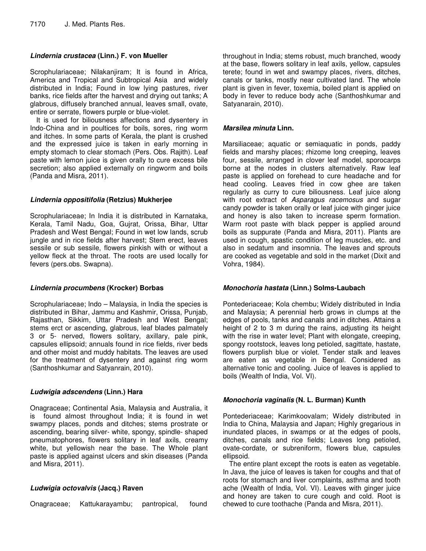## **Lindernia crustacea (Linn.) F. von Mueller**

Scrophulariaceae; Nilakanjiram; It is found in Africa, America and Tropical and Subtropical Asia and widely distributed in India; Found in low lying pastures, river banks, rice fields after the harvest and drying out tanks; A glabrous, diffusely branched annual, leaves small, ovate, entire or serrate, flowers purple or blue-violet.

It is used for biliousness affections and dysentery in Indo-China and in poultices for boils, sores, ring worm and itches. In some parts of Kerala, the plant is crushed and the expressed juice is taken in early morning in empty stomach to clear stomach (Pers. Obs. Rajith). Leaf paste with lemon juice is given orally to cure excess bile secretion; also applied externally on ringworm and boils (Panda and Misra, 2011).

#### **Lindernia oppositifolia (Retzius) Mukherjee**

Scrophulariaceae; In India it is distributed in Karnataka, Kerala, Tamil Nadu, Goa, Gujrat, Orissa, Bihar, Uttar Pradesh and West Bengal; Found in wet low lands, scrub jungle and in rice fields after harvest; Stem erect, leaves sessile or sub sessile, flowers pinkish with or without a yellow fleck at the throat. The roots are used locally for fevers (pers.obs. Swapna).

#### **Lindernia procumbens (Krocker) Borbas**

Scrophulariaceae; Indo – Malaysia, in India the species is distributed in Bihar, Jammu and Kashmir, Orissa, Punjab, Rajasthan, Sikkim, Uttar Pradesh and West Bengal; stems erct or ascending, glabrous, leaf blades palmately 3 or 5- nerved, flowers solitary, axillary, pale pink, capsules ellipsoid; annuals found in rice fields, river beds and other moist and muddy habitats. The leaves are used for the treatment of dysentery and against ring worm (Santhoshkumar and Satyanrain, 2010).

#### **Ludwigia adscendens (Linn.) Hara**

Onagraceae; Continental Asia, Malaysia and Australia, it is found almost throughout India; it is found in wet swampy places, ponds and ditches; stems prostrate or ascending, bearing silver- white, spongy, spindle- shaped pneumatophores, flowers solitary in leaf axils, creamy white, but yellowish near the base. The Whole plant paste is applied against ulcers and skin diseases (Panda and Misra, 2011).

# **Ludwigia octovalvis (Jacq.) Raven**

Onagraceae; Kattukarayambu; pantropical, found

throughout in India; stems robust, much branched, woody at the base, flowers solitary in leaf axils, yellow, capsules terete; found in wet and swampy places, rivers, ditches, canals or tanks, mostly near cultivated land. The whole plant is given in fever, toxemia, boiled plant is applied on body in fever to reduce body ache (Santhoshkumar and Satyanarain, 2010).

## **Marsilea minuta Linn.**

Marsiliaceae; aquatic or semiaquatic in ponds, paddy fields and marshy places; rhizome long creeping, leaves four, sessile, arranged in clover leaf model, sporocarps borne at the nodes in clusters alternatively. Raw leaf paste is applied on forehead to cure headache and for head cooling. Leaves fried in cow ghee are taken regularly as curry to cure biliousness. Leaf juice along with root extract of Asparagus racemosus and sugar candy powder is taken orally or leaf juice with ginger juice and honey is also taken to increase sperm formation. Warm root paste with black pepper is applied around boils as suppurate (Panda and Misra, 2011). Plants are used in cough, spastic condition of leg muscles, etc. and also in sedatum and insomnia. The leaves and sprouts are cooked as vegetable and sold in the market (Dixit and Vohra, 1984).

# **Monochoria hastata (Linn.) Solms-Laubach**

Pontederiaceae; Kola chembu; Widely distributed in India and Malaysia; A perennial herb grows in clumps at the edges of pools, tanks and canals and in ditches. Attains a height of 2 to 3 m during the rains, adjusting its height with the rise in water level; Plant with elongate, creeping, spongy rootstock, leaves long petioled, sagittate, hastate, flowers purplish blue or violet. Tender stalk and leaves are eaten as vegetable in Bengal. Considered as alternative tonic and cooling. Juice of leaves is applied to boils (Wealth of India, Vol. VI).

#### **Monochoria vaginalis (N. L. Burman) Kunth**

Pontederiaceae; Karimkoovalam; Widely distributed in India to China, Malaysia and Japan; Highly gregarious in inundated places, in swamps or at the edges of pools, ditches, canals and rice fields; Leaves long petioled, ovate-cordate, or subreniform, flowers blue, capsules ellipsoid.

The entire plant except the roots is eaten as vegetable. In Java, the juice of leaves is taken for coughs and that of roots for stomach and liver complaints, asthma and tooth ache (Wealth of India, Vol. VI). Leaves with ginger juice and honey are taken to cure cough and cold. Root is chewed to cure toothache (Panda and Misra, 2011).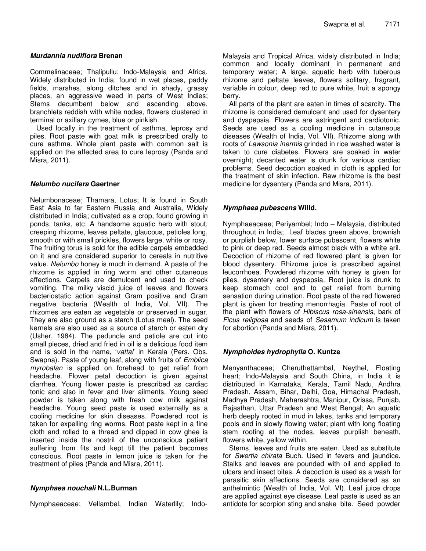#### **Murdannia nudiflora Brenan**

Commelinaceae; Thalipullu; Indo-Malaysia and Africa. Widely distributed in India; found in wet places, paddy fields, marshes, along ditches and in shady, grassy places, an aggressive weed in parts of West Indies; Stems decumbent below and ascending above, branchlets reddish with white nodes, flowers clustered in terminal or axillary cymes, blue or pinkish.

Used locally in the treatment of asthma, leprosy and piles. Root paste with goat milk is prescribed orally to cure asthma. Whole plant paste with common salt is applied on the affected area to cure leprosy (Panda and Misra, 2011).

#### **Nelumbo nucifera Gaertner**

Nelumbonaceae; Thamara, Lotus; It is found in South East Asia to far Eastern Russia and Australia, Widely distributed in India; cultivated as a crop, found growing in ponds, tanks, etc; A handsome aquatic herb with stout, creeping rhizome, leaves peltate, glaucous, petioles long, smooth or with small prickles, flowers large, white or rosy. The fruiting torus is sold for the edible carpels embedded on it and are considered superior to cereals in nutritive value. Nelumbo honey is much in demand. A paste of the rhizome is applied in ring worm and other cutaneous affections. Carpels are demulcent and used to check vomiting. The milky viscid juice of leaves and flowers bacteriostatic action against Gram positive and Gram negative bacteria (Wealth of India, Vol. VII). The rhizomes are eaten as vegetable or preserved in sugar. They are also ground as a starch (Lotus meal). The seed kernels are also used as a source of starch or eaten dry (Usher, 1984). The peduncle and petiole are cut into small pieces, dried and fried in oil is a delicious food item and is sold in the name, 'vattal' in Kerala (Pers. Obs. Swapna). Paste of young leaf, along with fruits of *Emblica* myrobalan is applied on forehead to get relief from headache. Flower petal decoction is given against diarrhea. Young flower paste is prescribed as cardiac tonic and also in fever and liver ailments. Young seed powder is taken along with fresh cow milk against headache. Young seed paste is used externally as a cooling medicine for skin diseases. Powdered root is taken for expelling ring worms. Root paste kept in a fine cloth and rolled to a thread and dipped in cow ghee is inserted inside the nostril of the unconscious patient suffering from fits and kept till the patient becomes conscious. Root paste in lemon juice is taken for the treatment of piles (Panda and Misra, 2011).

#### **Nymphaea nouchali N.L.Burman**

Nymphaeaceae; Vellambel, Indian Waterlily; Indo-

Malaysia and Tropical Africa, widely distributed in India; common and locally dominant in permanent and temporary water; A large, aquatic herb with tuberous rhizome and peltate leaves, flowers solitary, fragrant, variable in colour, deep red to pure white, fruit a spongy berry.

All parts of the plant are eaten in times of scarcity. The rhizome is considered demulcent and used for dysentery and dyspepsia. Flowers are astringent and cardiotonic. Seeds are used as a cooling medicine in cutaneous diseases (Wealth of India, Vol. VII). Rhizome along with roots of Lawsonia inermis grinded in rice washed water is taken to cure diabetes. Flowers are soaked in water overnight; decanted water is drunk for various cardiac problems. Seed decoction soaked in cloth is applied for the treatment of skin infection. Raw rhizome is the best medicine for dysentery (Panda and Misra, 2011).

#### **Nymphaea pubescens Willd.**

Nymphaeaceae; Periyambel; Indo – Malaysia, distributed throughout in India; Leaf blades green above, brownish or purplish below, lower surface pubescent, flowers white to pink or deep red. Seeds almost black with a white aril. Decoction of rhizome of red flowered plant is given for blood dysentery. Rhizome juice is prescribed against leucorrhoea. Powdered rhizome with honey is given for piles, dysentery and dyspepsia. Root juice is drunk to keep stomach cool and to get relief from burning sensation during urination. Root paste of the red flowered plant is given for treating menorrhagia. Paste of root of the plant with flowers of Hibiscus rosa-sinensis, bark of Ficus religiosa and seeds of Sesamum indicum is taken for abortion (Panda and Misra, 2011).

#### **Nymphoides hydrophylla O. Kuntze**

Menyanthaceae; Cheruthettambal, Neythel, Floating heart; Indo-Malaysia and South China, in India it is distributed in Karnataka, Kerala, Tamil Nadu, Andhra Pradesh, Assam, Bihar, Delhi, Goa, Himachal Pradesh, Madhya Pradesh, Maharashtra, Manipur, Orissa, Punjab, Rajasthan, Uttar Pradesh and West Bengal; An aquatic herb deeply rooted in mud in lakes, tanks and temporary pools and in slowly flowing water; plant with long floating stem rooting at the nodes, leaves purplish beneath, flowers white, yellow within.

Stems, leaves and fruits are eaten. Used as substitute for Swertia chirata Buch. Used in fevers and jaundice. Stalks and leaves are pounded with oil and applied to ulcers and insect bites. A decoction is used as a wash for parasitic skin affections. Seeds are considered as an anthelmintic (Wealth of India, Vol. VI). Leaf juice drops are applied against eye disease. Leaf paste is used as an antidote for scorpion sting and snake bite. Seed powder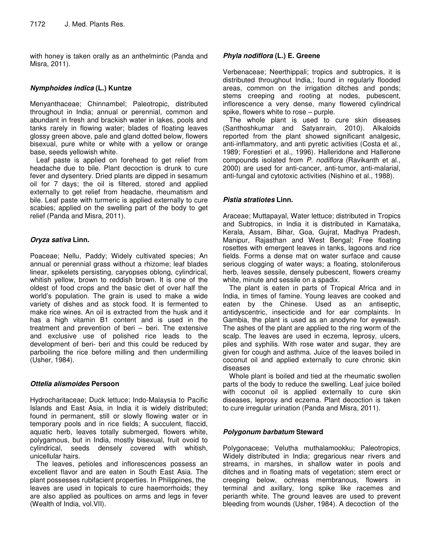with honey is taken orally as an anthelmintic (Panda and Misra, 2011).

# **Nymphoides indica (L.) Kuntze**

Menyanthaceae; Chinnambel; Paleotropic, distributed throughout in India; annual or perennial, common and abundant in fresh and brackish water in lakes, pools and tanks rarely in flowing water; blades of floating leaves glossy green above, pale and gland dotted below, flowers bisexual, pure white or white with a yellow or orange base, seeds yellowish white.

Leaf paste is applied on forehead to get relief from headache due to bile. Plant decoction is drunk to cure fever and dysentery. Dried plants are dipped in sesamum oil for 7 days; the oil is filtered, stored and applied externally to get relief from headache, rheumatism and bile. Leaf paste with turmeric is applied externally to cure scabies; applied on the swelling part of the body to get relief (Panda and Misra, 2011).

# **Oryza sativa Linn.**

Poaceae; Nellu, Paddy; Widely cultivated species; An annual or perennial grass without a rhizome; leaf blades linear, spikelets persisting, caryopses oblong, cylindrical, whitish yellow, brown to reddish brown. It is one of the oldest of food crops and the basic diet of over half the world's population. The grain is used to make a wide variety of dishes and as stock food. It is fermented to make rice wines. An oil is extracted from the husk and it has a high vitamin B1 content and is used in the treatment and prevention of beri – beri. The extensive and exclusive use of polished rice leads to the development of beri- beri and this could be reduced by parboiling the rice before milling and then undermilling (Usher, 1984).

#### **Ottelia alismoides Persoon**

Hydrocharitaceae; Duck lettuce; Indo-Malaysia to Pacific Islands and East Asia, in India it is widely distributed; found in permanent, still or slowly flowing water or in temporary pools and in rice fields; A succulent, flaccid, aquatic herb, leaves totally submerged, flowers white, polygamous, but in India, mostly bisexual, fruit ovoid to cylindrical, seeds densely covered with whitish, unicellular hairs.

The leaves, petioles and inflorescences possess an excellent flavor and are eaten in South East Asia. The plant possesses rubifacient properties. In Philippines, the leaves are used in topicals to cure haemorrhoids; they are also applied as poultices on arms and legs in fever (Wealth of India, vol.VII).

## **Phyla nodiflora (L.) E. Greene**

Verbenaceae; Neerthippali; tropics and subtropics, it is distributed throughout India,; found in regularly flooded areas, common on the irrigation ditches and ponds; stems creeping and rooting at nodes, pubescent, inflorescence a very dense, many flowered cylindrical spike, flowers white to rose – purple.

The whole plant is used to cure skin diseases (Santhoshkumar and Satyanrain, 2010). Alkaloids reported from the plant showed significant analgesic, anti-inflammatory, and anti pyretic activities (Costa et al., 1989; Forestieri et al., 1996). Halleridone and Hallerone compounds isolated from P. nodiflora (Ravikanth et al., 2000) are used for anti-cancer, anti-tumor, anti-malarial, anti-fungal and cytotoxic activities (Nishino et al., 1988).

## **Pistia stratiotes Linn.**

Araceae; Muttapayal, Water lettuce; distributed in Tropics and Subtropics, in India it is distributed in Karnataka, Kerala, Assam, Bihar, Goa, Gujrat, Madhya Pradesh, Manipur, Rajasthan and West Bengal; Free floating rosettes with emergent leaves in tanks, lagoons and rice fields. Forms a dense mat on water surface and cause serious clogging of water ways; a floating, stoloniferous herb, leaves sessile, densely pubescent, flowers creamy white, minute and sessile on a spadix.

The plant is eaten in parts of Tropical Africa and in India, in times of famine. Young leaves are cooked and eaten by the Chinese. Used as an antiseptic, antidyscentric, insecticide and for ear complaints. In Gambia, the plant is used as an anodyne for eyewash. The ashes of the plant are applied to the ring worm of the scalp. The leaves are used in eczema, leprosy, ulcers, piles and syphilis. With rose water and sugar, they are given for cough and asthma. Juice of the leaves boiled in coconut oil and applied externally to cure chronic skin diseases

Whole plant is boiled and tied at the rheumatic swollen parts of the body to reduce the swelling. Leaf juice boiled with coconut oil is applied externally to cure skin diseases, leprosy and eczema. Plant decoction is taken to cure irregular urination (Panda and Misra, 2011).

#### **Polygonum barbatum Steward**

Polygonaceae; Velutha muthalamookku; Paleotropics, Widely distributed in India; gregarious near rivers and streams, in marshes, in shallow water in pools and ditches and in floating mats of vegetation; stem erect or creeping below, ochreas membranous, flowers in terminal and axillary, long spike like racemes and perianth white. The ground leaves are used to prevent bleeding from wounds (Usher, 1984). A decoction of the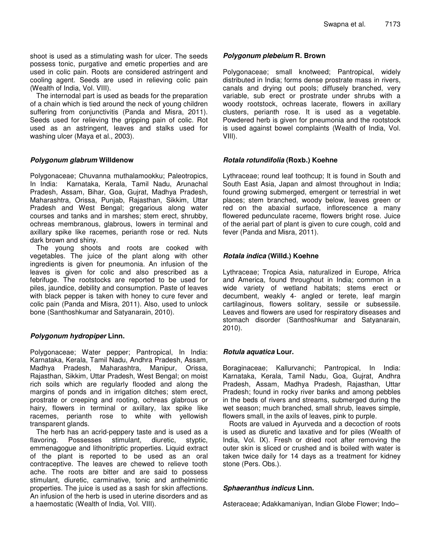shoot is used as a stimulating wash for ulcer. The seeds possess tonic, purgative and emetic properties and are used in colic pain. Roots are considered astringent and cooling agent. Seeds are used in relieving colic pain (Wealth of India, Vol. VIII).

The internodal part is used as beads for the preparation of a chain which is tied around the neck of young children suffering from conjunctivitis (Panda and Misra, 2011). Seeds used for relieving the gripping pain of colic. Rot used as an astringent, leaves and stalks used for washing ulcer (Maya et al., 2003).

#### **Polygonum glabrum Willdenow**

Polygonaceae; Chuvanna muthalamookku; Paleotropics, In India: Karnataka, Kerala, Tamil Nadu, Arunachal Pradesh, Assam, Bihar, Goa, Gujrat, Madhya Pradesh, Maharashtra, Orissa, Punjab, Rajasthan, Sikkim, Uttar Pradesh and West Bengal; gregarious along water courses and tanks and in marshes; stem erect, shrubby, ochreas membranous, glabrous, lowers in terminal and axillary spike like racemes, perianth rose or red. Nuts dark brown and shiny.

The young shoots and roots are cooked with vegetables. The juice of the plant along with other ingredients is given for pneumonia. An infusion of the leaves is given for colic and also prescribed as a febrifuge. The rootstocks are reported to be used for piles, jaundice, debility and consumption. Paste of leaves with black pepper is taken with honey to cure fever and colic pain (Panda and Misra, 2011). Also, used to unlock bone (Santhoshkumar and Satyanarain, 2010).

# **Polygonum hydropiper Linn.**

Polygonaceae; Water pepper; Pantropical, In India: Karnataka, Kerala, Tamil Nadu, Andhra Pradesh, Assam, Madhya Pradesh, Maharashtra, Manipur, Orissa, Rajasthan, Sikkim, Uttar Pradesh, West Bengal; on moist rich soils which are regularly flooded and along the margins of ponds and in irrigation ditches; stem erect, prostrate or creeping and rooting, ochreas glabrous or hairy, flowers in terminal or axillary, lax spike like racemes, perianth rose to white with yellowish transparent glands.

The herb has an acrid-peppery taste and is used as a flavoring. Possesses stimulant, diuretic, styptic, emmenagogue and lithonitriptic properties. Liquid extract of the plant is reported to be used as an oral contraceptive. The leaves are chewed to relieve tooth ache. The roots are bitter and are said to possess stimulant, diuretic, carminative, tonic and anthelmintic properties. The juice is used as a sash for skin affections. An infusion of the herb is used in uterine disorders and as a haemostatic (Wealth of India, Vol. VIII).

## **Polygonum plebeium R. Brown**

Polygonaceae; small knotweed; Pantropical, widely distributed in India; forms dense prostrate mass in rivers, canals and drying out pools; diffusely branched, very variable, sub erect or prostrate under shrubs with a woody rootstock, ochreas lacerate, flowers in axillary clusters, perianth rose. It is used as a vegetable. Powdered herb is given for pneumonia and the rootstock is used against bowel complaints (Wealth of India, Vol. VIII).

## **Rotala rotundifolia (Roxb.) Koehne**

Lythraceae; round leaf toothcup; It is found in South and South East Asia, Japan and almost throughout in India; found growing submerged, emergent or terrestrial in wet places; stem branched, woody below, leaves green or red on the abaxial surface, inflorescence a many flowered pedunculate raceme, flowers bright rose. Juice of the aerial part of plant is given to cure cough, cold and fever (Panda and Misra, 2011).

## **Rotala indica (Willd.) Koehne**

Lythraceae; Tropica Asia, naturalized in Europe, Africa and America, found throughout in India; common in a wide variety of wetland habitats; stems erect or decumbent, weakly 4- angled or terete, leaf margin cartilaginous, flowers solitary, sessile or subsessile. Leaves and flowers are used for respiratory diseases and stomach disorder (Santhoshkumar and Satyanarain, 2010).

#### **Rotula aquatica Lour.**

Boraginaceae; Kallurvanchi; Pantropical, In India: Karnataka, Kerala, Tamil Nadu, Goa, Gujrat, Andhra Pradesh, Assam, Madhya Pradesh, Rajasthan, Uttar Pradesh; found in rocky river banks and among pebbles in the beds of rivers and streams, submerged during the wet season; much branched, small shrub, leaves simple, flowers small, in the axils of leaves, pink to purple.

Roots are valued in Ayurveda and a decoction of roots is used as diuretic and laxative and for piles (Wealth of India, Vol. IX). Fresh or dried root after removing the outer skin is sliced or crushed and is boiled with water is taken twice daily for 14 days as a treatment for kidney stone (Pers. Obs.).

#### **Sphaeranthus indicus Linn.**

Asteraceae; Adakkamaniyan, Indian Globe Flower; Indo–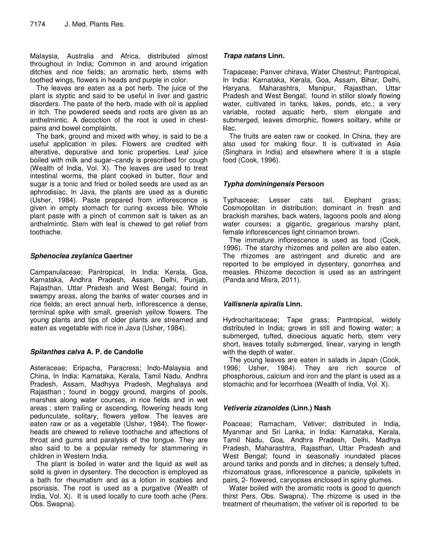Malaysia, Australia and Africa, distributed almost throughout in India; Common in and around irrigation ditches and rice fields; an aromatic herb, stems with toothed wings, flowers in heads and purple in color.

The leaves are eaten as a pot herb. The juice of the plant is styptic and said to be useful in liver and gastric disorders. The paste of the herb, made with oil is applied in itch. The powdered seeds and roots are given as an anthelmintic. A decoction of the root is used in chestpains and bowel complaints.

The bark, ground and mixed with whey, is said to be a useful application in piles. Flowers are credited with alterative, depurative and tonic properties. Leaf juice boiled with milk and sugar–candy is prescribed for cough (Wealth of India, Vol. X). The leaves are used to treat intestinal worms, the plant cooked in butter, flour and sugar is a tonic and fried or boiled seeds are used as an aphrodisiac. In Java, the plants are used as a diuretic (Usher, 1984). Paste prepared from inflorescence is given in empty stomach for curing excess bile. Whole plant paste with a pinch of common salt is taken as an anthelmintic. Stem with leaf is chewed to get relief from toothache.

# **Sphenoclea zeylanica Gaertner**

Campanulaceae; Pantropical, In India: Kerala, Goa, Karnataka, Andhra Pradesh, Assam, Delhi, Punjab, Rajasthan, Uttar Pradesh and West Bengal; found in swampy areas, along the banks of water courses and in rice fields; an erect annual herb, inflorescence a dense, terminal spike with small, greenish yellow flowers. The young plants and tips of older plants are streamed and eaten as vegetable with rice in Java (Usher, 1984).

# **Spilanthes calva A. P. de Candolle**

Asteraceae; Eripacha, Paracress; Indo-Malaysia and China, In India: Karnataka, Kerala, Tamil Nadu, Andhra Pradesh, Assam, Madhyya Pradesh, Meghalaya and Rajasthan ; found in boggy ground, margins of pools, marshes along water courses, in rice fields and in wet areas ; stem trailing or ascending, flowering heads long pedunculate, solitary, flowers yellow. The leaves are eaten raw or as a vegetable (Usher, 1984). The flowerheads are chewed to relieve toothache and affections of throat and gums and paralysis of the tongue. They are also said to be a popular remedy for stammering in children in Western India.

The plant is boiled in water and the liquid as well as solid is given in dysentery. The decoction is employed as a bath for rheumatism and as a lotion in scabies and psoriasis. The root is used as a purgative (Wealth of India, Vol. X). It is used locally to cure tooth ache (Pers. Obs. Swapna).

## **Trapa natans Linn.**

Trapaceae; Panver chirava, Water Chestnut; Pantropical, In India: Karnataka, Kerala, Goa, Assam, Bihar, Delhi, Haryana, Maharashtra, Manipur, Rajasthan, Uttar Pradesh and West Bengal; found in stillor slowly flowing water, cultivated in tanks, lakes, ponds, etc.; a very variable, rooted aquatic herb, stem elongate and submerged, leaves dimorphic, flowers soiltary, white or lilac.

The fruits are eaten raw or cooked. In China, they are also used for making flour. It is cultivated in Asia (Singhara in India) and elsewhere where it is a staple food (Cook, 1996).

# **Typha dominingensis Persoon**

Typhaceae; Lesser cats tail, Elephant grass; Cosmopolitan in distribution; dominant in fresh and brackish marshes, back waters, lagoons pools and along water courses; a gigantic, gregarious marshy plant, female inflorescences light cinnamon brown.

The immature inflorescence is used as food (Cook, 1996). The starchy rhizomes and pollen are also eaten. The rhizomes are astringent and diuretic and are reported to be employed in dysentery, gonorrhea and measles. Rhizome decoction is used as an astringent (Panda and Misra, 2011).

# **Vallisneria spiralis Linn.**

Hydrocharitaceae; Tape grass; Pantropical, widely distributed in India; grows in still and flowing water; a submerged, tufted, dioecious aquatic herb, stem very short, leaves totally submerged, linear, varying in length with the depth of water.

The young leaves are eaten in salads in Japan (Cook, 1996; Usher, 1984). They are rich source of phosphorous, calcium and iron and the plant is used as a stomachic and for lecorrhoea (Wealth of India, Vol. X).

# **Vetiveria zizanoides (Linn.) Nash**

Poaceae; Ramacham, Vetiver; distributed in India, Myanmar and Sri Lanka, in India: Karnataka, Kerala, Tamil Nadu, Goa, Andhra Pradesh, Delhi, Madhya Pradesh, Maharashtra, Rajasthan, Uttar Pradesh and West Bengal; found in seasonally inundated places around tanks and ponds and in ditches; a densely tufted, rhizomatous grass, inflorescence a panicle, spikelets in pairs, 2- flowered, caryopses enclosed in spiny glumes.

Water boiled with the aromatic roots is good to quench thirst Pers. Obs. Swapna). The rhizome is used in the treatment of rheumatism, the vetiver oil is reported to be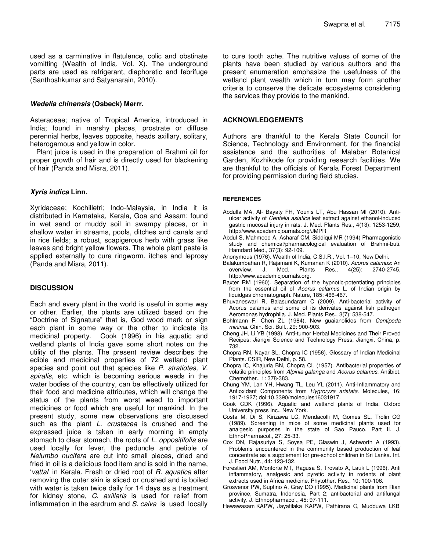used as a carminative in flatulence, colic and obstinate vomitting (Wealth of India, Vol. X). The underground parts are used as refrigerant, diaphoretic and febrifuge (Santhoshkumar and Satyanarain, 2010).

#### **Wedelia chinensis (Osbeck) Merrr.**

Asteraceae; native of Tropical America, introduced in India; found in marshy places, prostrate or diffuse perennial herbs, leaves opposite, heads axillary, solitary, heterogamous and yellow in color.

Plant juice is used in the preparation of Brahmi oil for proper growth of hair and is directly used for blackening of hair (Panda and Misra, 2011).

#### **Xyris indica Linn.**

Xyridaceae; Kochilletri; Indo-Malaysia, in India it is distributed in Karnataka, Kerala, Goa and Assam; found in wet sand or muddy soil in swampy places, or in shallow water in streams, pools, ditches and canals and in rice fields; a robust, scapigerous herb with grass like leaves and bright yellow flowers. The whole plant paste is applied externally to cure ringworm, itches and leprosy (Panda and Misra, 2011).

# **DISCUSSION**

Each and every plant in the world is useful in some way or other. Earlier, the plants are utilized based on the "Doctrine of Signature" that is, God wood mark or sign each plant in some way or the other to indicate its medicinal property. Cook (1996) in his aquatic and wetland plants of India gave some short notes on the utility of the plants. The present review describes the edible and medicinal properties of 72 wetland plant species and point out that species like P. stratiotes, V. spiralis, etc. which is becoming serious weeds in the water bodies of the country, can be effectively utilized for their food and medicine attributes, which will change the status of the plants from worst weed to important medicines or food which are useful for mankind. In the present study, some new observations are discussed such as the plant *L. crustacea* is crushed and the expressed juice is taken in early morning in empty stomach to clear stomach, the roots of L. oppositifolia are used locally for fever, the peduncle and petiole of Nelumbo nucifera are cut into small pieces, dried and fried in oil is a delicious food item and is sold in the name, 'vattal' in Kerala. Fresh or dried root of R. aquatica after removing the outer skin is sliced or crushed and is boiled with water is taken twice daily for 14 days as a treatment for kidney stone, C. axillaris is used for relief from inflammation in the eardrum and S. calva is used locally to cure tooth ache. The nutritive values of some of the plants have been studied by various authors and the present enumeration emphasize the usefulness of the wetland plant wealth which in turn may form another criteria to conserve the delicate ecosystems considering the services they provide to the mankind.

#### **ACKNOWLEDGEMENTS**

Authors are thankful to the Kerala State Council for Science, Technology and Environment, for the financial assistance and the authorities of Malabar Botanical Garden, Kozhikode for providing research facilities. We are thankful to the officials of Kerala Forest Department for providing permission during field studies.

#### **REFERENCES**

- Abdulla MA, Al- Bayaty FH, Younis LT, Abu Hassan MI (2010). Antiulcer activity of Centella asiatica leaf extract against ethanol-induced gastric mucosal injury in rats. J. Med. Plants Res., 4(13): 1253-1259, http://www.academicjournals.org/JMPR
- Abdul S, Mahmood A, Asharaf CM, Siddiqui MR (1994) Pharmagonistic study and chemical/pharmacological evaluation of Brahmi-buti. Hamdard Med., 37(3): 92-109.
- Anonymous (1976). Wealth of India, C.S.I.R., Vol. 1–10, New Delhi.
- Balakumbahan R, Rajamani K, Kumanan K (2010). Acorus calamus: An overview. J. Med. Plants Res., 4(25): 2740-2745, http://www.academicjournals.org.
- Baxter RM (1960). Separation of the hypnotic-potentiating principles from the essential oil of Acorus calamus L. of Indian origin by liquidgas chromatograph. Nature, 185: 466-467.
- Bhuvaneswari R, Balasundaram C (2009). Anti-bacterial activity of Acorus calamus and some of its derivates against fish pathogen Aeromonas hydrophila. J. Med. Plants Res., 3(7): 538-547.
- Bohlmann F, Chen ZL (1984). New guaianolides from Centipeda minima. Chin. Sci. Bull., 29: 900-903.
- Cheng JH, Li YB (1998). Anti-tumor Herbal Medicines and Their Proved Recipes; Jiangxi Science and Technology Press, Jiangxi, China, p. 732.
- Chopra RN, Nayar SL, Chopra IC (1956). Glossary of Indian Medicinal Plants. CSIR, New Delhi, p. 58.
- Chopra IC, Khajuria BN, Chopra CL (1957). Antibacterial properties of volatile principles from Alpinia galanga and Acorus calamus. Antibiot. Chemother., 1: 378-383.
- Chung YM, Lan YH, Hwang TL, Leu YL (2011). Anti-Inflammatory and Antioxidant Components from Hygroryza aristata. Molecules, 16: 1917-1927; doi:10.3390/molecules16031917.
- Cook CDK (1996). Aquatic and wetland plants of India. Oxford University press Inc., New York.
- Costa M, Di S, Kirizawa LC, Mendacolli M, Gomes SL, Trolin CG (1989). Screening in mice of some medicinal plants used for analgesic purposes in the state of Sao Pauco. Part II. J. EthnoPharmacol., 27: 25-33.
- Cox DN, Rajasuriya S, Soysa PE, Glaswin J, Ashworth A (1993). Problems encountered in the community based production of leaf concentrate as a supplement for pre-school children in Sri Lanka. Int. J. Food Nutr., 44: 123-132.
- Forestieri AM, Monforte MT, Ragusa S, Trovato A, Lauk L (1996). Anti inflammatory, analgesic and pyretic activity in rodents of plant extracts used in Africa medicine. Phytother. Res., 10: 100-106.
- Grosvenor PW, Suptino A, Gray DO (1995). Medicinal plants from Rian province, Sumatra, Indonesia, Part 2; antibacterial and antifungal activity. J. Ethnopharmacol., 45: 97-111.
- Hewawasam KAPW, Jayatilaka KAPW, Pathirana C, Mudduwa LKB